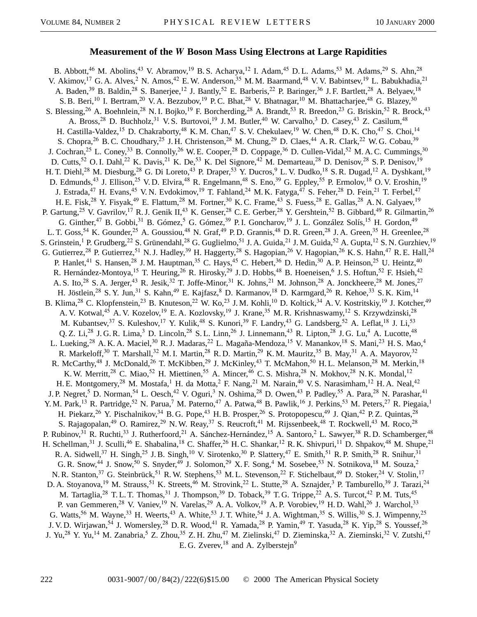## **Measurement of the** *W* **Boson Mass Using Electrons at Large Rapidities**

B. Abbott,<sup>46</sup> M. Abolins,<sup>43</sup> V. Abramov,<sup>19</sup> B. S. Acharya,<sup>12</sup> I. Adam,<sup>45</sup> D. L. Adams,<sup>53</sup> M. Adams,<sup>29</sup> S. Ahn,<sup>28</sup> V. Akimov,<sup>17</sup> G. A. Alves,<sup>2</sup> N. Amos,<sup>42</sup> E. W. Anderson,<sup>35</sup> M. M. Baarmand,<sup>48</sup> V. V. Babintsev,<sup>19</sup> L. Babukhadia,<sup>21</sup> A. Baden,<sup>39</sup> B. Baldin,<sup>28</sup> S. Banerjee,<sup>12</sup> J. Bantly,<sup>52</sup> E. Barberis,<sup>22</sup> P. Baringer,<sup>36</sup> J. F. Bartlett,<sup>28</sup> A. Belyaev,<sup>18</sup> S. B. Beri,<sup>10</sup> I. Bertram,<sup>20</sup> V. A. Bezzubov,<sup>19</sup> P. C. Bhat,<sup>28</sup> V. Bhatnagar,<sup>10</sup> M. Bhattacharjee,<sup>48</sup> G. Blazey,<sup>30</sup> S. Blessing,<sup>26</sup> A. Boehnlein,<sup>28</sup> N. I. Bojko,<sup>19</sup> F. Borcherding,<sup>28</sup> A. Brandt,<sup>53</sup> R. Breedon,<sup>23</sup> G. Briskin,<sup>52</sup> R. Brock,<sup>43</sup> A. Bross,<sup>28</sup> D. Buchholz,<sup>31</sup> V. S. Burtovoi,<sup>19</sup> J. M. Butler,<sup>40</sup> W. Carvalho,<sup>3</sup> D. Casey,<sup>43</sup> Z. Casilum,<sup>48</sup> H. Castilla-Valdez,<sup>15</sup> D. Chakraborty,<sup>48</sup> K. M. Chan,<sup>47</sup> S. V. Chekulaev,<sup>19</sup> W. Chen,<sup>48</sup> D. K. Cho,<sup>47</sup> S. Choi,<sup>14</sup> S. Chopra, <sup>26</sup> B. C. Choudhary, <sup>25</sup> J. H. Christenson, <sup>28</sup> M. Chung, <sup>29</sup> D. Claes, <sup>44</sup> A. R. Clark, <sup>22</sup> W. G. Cobau, <sup>39</sup> J. Cochran,<sup>25</sup> L. Coney,<sup>33</sup> B. Connolly,<sup>26</sup> W. E. Cooper,<sup>28</sup> D. Coppage,<sup>36</sup> D. Cullen-Vidal,<sup>52</sup> M. A. C. Cummings,<sup>30</sup> D. Cutts,<sup>52</sup> O. I. Dahl,<sup>22</sup> K. Davis,<sup>21</sup> K. De,<sup>53</sup> K. Del Signore,<sup>42</sup> M. Demarteau,<sup>28</sup> D. Denisov,<sup>28</sup> S. P. Denisov,<sup>19</sup> H. T. Diehl,<sup>28</sup> M. Diesburg,<sup>28</sup> G. Di Loreto,<sup>43</sup> P. Draper,<sup>53</sup> Y. Ducros,<sup>9</sup> L. V. Dudko,<sup>18</sup> S. R. Dugad,<sup>12</sup> A. Dyshkant,<sup>19</sup> D. Edmunds,<sup>43</sup> J. Ellison,<sup>25</sup> V.D. Elvira,<sup>48</sup> R. Engelmann,<sup>48</sup> S. Eno,<sup>39</sup> G. Eppley,<sup>55</sup> P. Ermolov,<sup>18</sup> O. V. Eroshin,<sup>19</sup> J. Estrada,<sup>47</sup> H. Evans,<sup>45</sup> V. N. Evdokimov,<sup>19</sup> T. Fahland,<sup>24</sup> M. K. Fatyga,<sup>47</sup> S. Feher,<sup>28</sup> D. Fein,<sup>21</sup> T. Ferbel,<sup>47</sup> H. E. Fisk,<sup>28</sup> Y. Fisyak,<sup>49</sup> E. Flattum,<sup>28</sup> M. Fortner,<sup>30</sup> K. C. Frame,<sup>43</sup> S. Fuess,<sup>28</sup> E. Gallas,<sup>28</sup> A. N. Galyaev,<sup>19</sup> P. Gartung,<sup>25</sup> V. Gavrilov,<sup>17</sup> R. J. Genik II,<sup>43</sup> K. Genser,<sup>28</sup> C. E. Gerber,<sup>28</sup> Y. Gershtein,<sup>52</sup> B. Gibbard,<sup>49</sup> R. Gilmartin,<sup>26</sup> G. Ginther,<sup>47</sup> B. Gobbi,<sup>31</sup> B. Gómez,<sup>5</sup> G. Gómez,<sup>39</sup> P. I. Goncharov,<sup>19</sup> J. L. González Solís,<sup>15</sup> H. Gordon,<sup>49</sup> L. T. Goss,<sup>54</sup> K. Gounder,<sup>25</sup> A. Goussiou,<sup>48</sup> N. Graf,<sup>49</sup> P. D. Grannis,<sup>48</sup> D. R. Green,<sup>28</sup> J. A. Green,<sup>35</sup> H. Greenlee,<sup>28</sup> S. Grinstein,<sup>1</sup> P. Grudberg,<sup>22</sup> S. Grünendahl,<sup>28</sup> G. Guglielmo,<sup>51</sup> J. A. Guida,<sup>21</sup> J. M. Guida,<sup>52</sup> A. Gupta,<sup>12</sup> S. N. Gurzhiev,<sup>19</sup> G. Gutierrez,<sup>28</sup> P. Gutierrez,<sup>51</sup> N. J. Hadley,<sup>39</sup> H. Haggerty,<sup>28</sup> S. Hagopian,<sup>26</sup> V. Hagopian,<sup>26</sup> K. S. Hahn,<sup>47</sup> R. E. Hall,<sup>24</sup> P. Hanlet,<sup>41</sup> S. Hansen,<sup>28</sup> J. M. Hauptman,<sup>35</sup> C. Hays,<sup>45</sup> C. Hebert,<sup>36</sup> D. Hedin,<sup>30</sup> A. P. Heinson,<sup>25</sup> U. Heintz,<sup>40</sup> R. Hernández-Montoya,<sup>15</sup> T. Heuring,<sup>26</sup> R. Hirosky,<sup>29</sup> J.D. Hobbs,<sup>48</sup> B. Hoeneisen,<sup>6</sup> J.S. Hoftun,<sup>52</sup> F. Hsieh,<sup>42</sup> A. S. Ito,<sup>28</sup> S. A. Jerger,<sup>43</sup> R. Jesik,<sup>32</sup> T. Joffe-Minor,<sup>31</sup> K. Johns,<sup>21</sup> M. Johnson,<sup>28</sup> A. Jonckheere,<sup>28</sup> M. Jones,<sup>27</sup> H. Jöstlein,<sup>28</sup> S. Y. Jun,<sup>31</sup> S. Kahn,<sup>49</sup> E. Kajfasz,<sup>8</sup> D. Karmanov,<sup>18</sup> D. Karmgard,<sup>26</sup> R. Kehoe,<sup>33</sup> S. K. Kim,<sup>14</sup> B. Klima,<sup>28</sup> C. Klopfenstein,<sup>23</sup> B. Knuteson,<sup>22</sup> W. Ko,<sup>23</sup> J. M. Kohli,<sup>10</sup> D. Koltick,<sup>34</sup> A. V. Kostritskiy,<sup>19</sup> J. Kotcher,<sup>49</sup> A. V. Kotwal,<sup>45</sup> A. V. Kozelov,<sup>19</sup> E. A. Kozlovsky,<sup>19</sup> J. Krane,<sup>35</sup> M. R. Krishnaswamy,<sup>12</sup> S. Krzywdzinski,<sup>28</sup> M. Kubantsev,<sup>37</sup> S. Kuleshov,<sup>17</sup> Y. Kulik,<sup>48</sup> S. Kunori,<sup>39</sup> F. Landry,<sup>43</sup> G. Landsberg,<sup>52</sup> A. Leflat,<sup>18</sup> J. Li,<sup>53</sup> Q. Z. Li,<sup>28</sup> J. G. R. Lima,<sup>3</sup> D. Lincoln,<sup>28</sup> S. L. Linn,<sup>26</sup> J. Linnemann,<sup>43</sup> R. Lipton,<sup>28</sup> J. G. Lu,<sup>4</sup> A. Lucotte,<sup>48</sup> L. Lueking,<sup>28</sup> A. K. A. Maciel,<sup>30</sup> R. J. Madaras,<sup>22</sup> L. Magaña-Mendoza,<sup>15</sup> V. Manankov,<sup>18</sup> S. Mani,<sup>23</sup> H. S. Mao,<sup>4</sup> R. Markeloff,<sup>30</sup> T. Marshall,<sup>32</sup> M. I. Martin,<sup>28</sup> R. D. Martin,<sup>29</sup> K. M. Mauritz,<sup>35</sup> B. May,<sup>31</sup> A. A. Mayorov,<sup>32</sup> R. McCarthy,<sup>48</sup> J. McDonald,<sup>26</sup> T. McKibben,<sup>29</sup> J. McKinley,<sup>43</sup> T. McMahon,<sup>50</sup> H. L. Melanson,<sup>28</sup> M. Merkin,<sup>18</sup> K. W. Merritt,<sup>28</sup> C. Miao,<sup>52</sup> H. Miettinen,<sup>55</sup> A. Mincer,<sup>46</sup> C. S. Mishra,<sup>28</sup> N. Mokhov,<sup>28</sup> N. K. Mondal,<sup>12</sup> H. E. Montgomery,<sup>28</sup> M. Mostafa,<sup>1</sup> H. da Motta,<sup>2</sup> F. Nang,<sup>21</sup> M. Narain,<sup>40</sup> V. S. Narasimham,<sup>12</sup> H. A. Neal,<sup>42</sup> J. P. Negret,<sup>5</sup> D. Norman,<sup>54</sup> L. Oesch,<sup>42</sup> V. Oguri,<sup>3</sup> N. Oshima,<sup>28</sup> D. Owen,<sup>43</sup> P. Padley,<sup>55</sup> A. Para,<sup>28</sup> N. Parashar,<sup>41</sup> Y. M. Park,<sup>13</sup> R. Partridge,<sup>52</sup> N. Parua,<sup>7</sup> M. Paterno,<sup>47</sup> A. Patwa,<sup>48</sup> B. Pawlik,<sup>16</sup> J. Perkins,<sup>53</sup> M. Peters,<sup>27</sup> R. Piegaia,<sup>1</sup> H. Piekarz,<sup>26</sup> Y. Pischalnikov,<sup>34</sup> B. G. Pope,<sup>43</sup> H. B. Prosper,<sup>26</sup> S. Protopopescu,<sup>49</sup> J. Qian,<sup>42</sup> P. Z. Quintas,<sup>28</sup> S. Rajagopalan,<sup>49</sup> O. Ramirez,<sup>29</sup> N. W. Reay,<sup>37</sup> S. Reucroft,<sup>41</sup> M. Rijssenbeek,<sup>48</sup> T. Rockwell,<sup>43</sup> M. Roco,<sup>28</sup> P. Rubinov,<sup>31</sup> R. Ruchti,<sup>33</sup> J. Rutherfoord,<sup>21</sup> A. Sánchez-Hernández,<sup>15</sup> A. Santoro,<sup>2</sup> L. Sawyer,<sup>38</sup> R. D. Schamberger,<sup>48</sup> H. Schellman,<sup>31</sup> J. Sculli,<sup>46</sup> E. Shabalina,<sup>18</sup> C. Shaffer,<sup>26</sup> H. C. Shankar,<sup>12</sup> R. K. Shivpuri,<sup>11</sup> D. Shpakov,<sup>48</sup> M. Shupe,<sup>21</sup> R. A. Sidwell,<sup>37</sup> H. Singh,<sup>25</sup> J. B. Singh,<sup>10</sup> V. Sirotenko,<sup>30</sup> P. Slattery,<sup>47</sup> E. Smith,<sup>51</sup> R. P. Smith,<sup>28</sup> R. Snihur,<sup>31</sup> G. R. Snow,<sup>44</sup> J. Snow,<sup>50</sup> S. Snyder,<sup>49</sup> J. Solomon,<sup>29</sup> X. F. Song,<sup>4</sup> M. Sosebee,<sup>53</sup> N. Sotnikova,<sup>18</sup> M. Souza,<sup>2</sup> N. R. Stanton,<sup>37</sup> G. Steinbrück,<sup>51</sup> R. W. Stephens,<sup>53</sup> M. L. Stevenson,<sup>22</sup> F. Stichelbaut,<sup>49</sup> D. Stoker,<sup>24</sup> V. Stolin,<sup>17</sup> D. A. Stoyanova,<sup>19</sup> M. Strauss,<sup>51</sup> K. Streets,<sup>46</sup> M. Strovink,<sup>22</sup> L. Stutte,<sup>28</sup> A. Sznajder,<sup>3</sup> P. Tamburello,<sup>39</sup> J. Tarazi,<sup>24</sup> M. Tartaglia,<sup>28</sup> T. L. T. Thomas,<sup>31</sup> J. Thompson,<sup>39</sup> D. Toback,<sup>39</sup> T. G. Trippe,<sup>22</sup> A. S. Turcot,<sup>42</sup> P. M. Tuts,<sup>45</sup> P. van Gemmeren,<sup>28</sup> V. Vaniev,<sup>19</sup> N. Varelas,<sup>29</sup> A. A. Volkov,<sup>19</sup> A. P. Vorobiev,<sup>19</sup> H. D. Wahl,<sup>26</sup> J. Warchol,<sup>33</sup> G. Watts,<sup>56</sup> M. Wayne,<sup>33</sup> H. Weerts,<sup>43</sup> A. White,<sup>53</sup> J. T. White,<sup>54</sup> J. A. Wightman,<sup>35</sup> S. Willis,<sup>30</sup> S. J. Wimpenny,<sup>25</sup> J. V. D. Wirjawan,<sup>54</sup> J. Womersley,<sup>28</sup> D. R. Wood,<sup>41</sup> R. Yamada,<sup>28</sup> P. Yamin,<sup>49</sup> T. Yasuda,<sup>28</sup> K. Yip,<sup>28</sup> S. Youssef,<sup>26</sup> J. Yu,<sup>28</sup> Y. Yu,<sup>14</sup> M. Zanabria,<sup>5</sup> Z. Zhou,<sup>35</sup> Z. H. Zhu,<sup>47</sup> M. Zielinski,<sup>47</sup> D. Zieminska,<sup>32</sup> A. Zieminski,<sup>32</sup> V. Zutshi,<sup>47</sup> E. G. Zverev,<sup>18</sup> and A. Zylberstejn<sup>9</sup>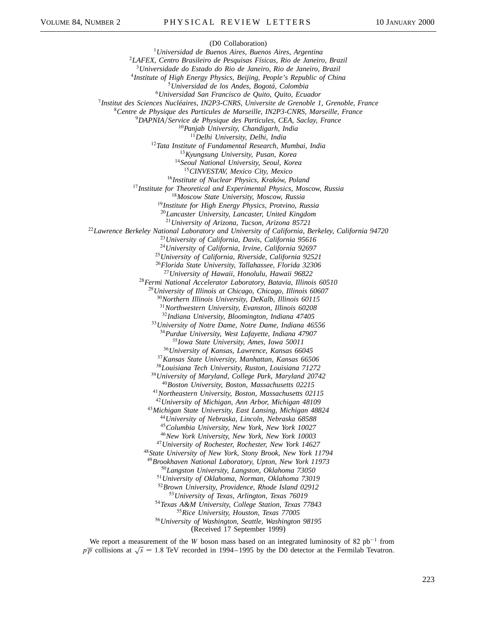(D0 Collaboration) *Universidad de Buenos Aires, Buenos Aires, Argentina LAFEX, Centro Brasileiro de Pesquisas Físicas, Rio de Janeiro, Brazil Universidade do Estado do Rio de Janeiro, Rio de Janeiro, Brazil Institute of High Energy Physics, Beijing, People's Republic of China Universidad de los Andes, Bogotá, Colombia Universidad San Francisco de Quito, Quito, Ecuador Institut des Sciences Nucléaires, IN2P3-CNRS, Universite de Grenoble 1, Grenoble, France Centre de Physique des Particules de Marseille, IN2P3-CNRS, Marseille, France DAPNIAService de Physique des Particules, CEA, Saclay, France Panjab University, Chandigarh, India Delhi University, Delhi, India Tata Institute of Fundamental Research, Mumbai, India Kyungsung University, Pusan, Korea Seoul National University, Seoul, Korea CINVESTAV, Mexico City, Mexico Institute of Nuclear Physics, Kraków, Poland Institute for Theoretical and Experimental Physics, Moscow, Russia Moscow State University, Moscow, Russia Institute for High Energy Physics, Protvino, Russia Lancaster University, Lancaster, United Kingdom University of Arizona, Tucson, Arizona 85721 Lawrence Berkeley National Laboratory and University of California, Berkeley, California 94720 University of California, Davis, California 95616 University of California, Irvine, California 92697 University of California, Riverside, California 92521 Florida State University, Tallahassee, Florida 32306 University of Hawaii, Honolulu, Hawaii 96822 Fermi National Accelerator Laboratory, Batavia, Illinois 60510 University of Illinois at Chicago, Chicago, Illinois 60607 Northern Illinois University, DeKalb, Illinois 60115 Northwestern University, Evanston, Illinois 60208 Indiana University, Bloomington, Indiana 47405 University of Notre Dame, Notre Dame, Indiana 46556 Purdue University, West Lafayette, Indiana 47907 Iowa State University, Ames, Iowa 50011 University of Kansas, Lawrence, Kansas 66045 Kansas State University, Manhattan, Kansas 66506 Louisiana Tech University, Ruston, Louisiana 71272 University of Maryland, College Park, Maryland 20742 Boston University, Boston, Massachusetts 02215 Northeastern University, Boston, Massachusetts 02115 University of Michigan, Ann Arbor, Michigan 48109 Michigan State University, East Lansing, Michigan 48824 University of Nebraska, Lincoln, Nebraska 68588 Columbia University, New York, New York 10027 New York University, New York, New York 10003 University of Rochester, Rochester, New York 14627 State University of New York, Stony Brook, New York 11794 Brookhaven National Laboratory, Upton, New York 11973 Langston University, Langston, Oklahoma 73050 University of Oklahoma, Norman, Oklahoma 73019 Brown University, Providence, Rhode Island 02912 University of Texas, Arlington, Texas 76019 Texas A&M University, College Station, Texas 77843 Rice University, Houston, Texas 77005 University of Washington, Seattle, Washington 98195*

(Received 17 September 1999)

We report a measurement of the *W* boson mass based on an integrated luminosity of 82  $pb^{-1}$  from  $p\overline{p}$  collisions at  $\sqrt{s}$  = 1.8 TeV recorded in 1994–1995 by the D0 detector at the Fermilab Tevatron.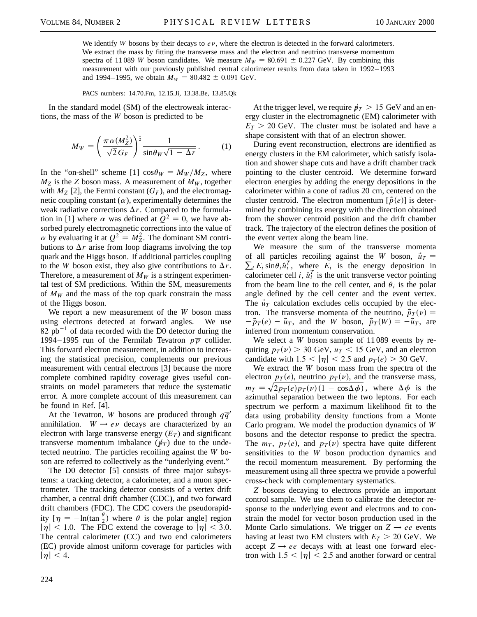We identify *W* bosons by their decays to  $e\nu$ , where the electron is detected in the forward calorimeters. We extract the mass by fitting the transverse mass and the electron and neutrino transverse momentum spectra of 11 089 *W* boson candidates. We measure  $M_W = 80.691 \pm 0.227$  GeV. By combining this measurement with our previously published central calorimeter results from data taken in 1992–1993 and 1994–1995, we obtain  $M_W = 80.482 \pm 0.091$  GeV.

PACS numbers: 14.70.Fm, 12.15.Ji, 13.38.Be, 13.85.Qk

In the standard model (SM) of the electroweak interactions, the mass of the *W* boson is predicted to be

$$
M_W = \left(\frac{\pi \alpha (M_Z^2)}{\sqrt{2} G_F}\right)^{\frac{1}{2}} \frac{1}{\sin \theta_W \sqrt{1 - \Delta r}}.
$$
 (1)

In the "on-shell" scheme [1]  $\cos \theta_W = M_W/M_Z$ , where  $M_Z$  is the *Z* boson mass. A measurement of  $M_W$ , together with  $M_Z$  [2], the Fermi constant  $(G_F)$ , and the electromagnetic coupling constant  $(\alpha)$ , experimentally determines the weak radiative corrections  $\Delta r$ . Compared to the formulation in [1] where  $\alpha$  was defined at  $Q^2 = 0$ , we have absorbed purely electromagnetic corrections into the value of  $\alpha$  by evaluating it at  $Q^2 = M_Z^2$ . The dominant SM contributions to  $\Delta r$  arise from loop diagrams involving the top quark and the Higgs boson. If additional particles coupling to the *W* boson exist, they also give contributions to  $\Delta r$ . Therefore, a measurement of  $M_W$  is a stringent experimental test of SM predictions. Within the SM, measurements of  $M_W$  and the mass of the top quark constrain the mass of the Higgs boson.

We report a new measurement of the *W* boson mass using electrons detected at forward angles. We use  $82$  pb<sup>-1</sup> of data recorded with the D0 detector during the 1994–1995 run of the Fermilab Tevatron  $p\overline{p}$  collider. This forward electron measurement, in addition to increasing the statistical precision, complements our previous measurement with central electrons [3] because the more complete combined rapidity coverage gives useful constraints on model parameters that reduce the systematic error. A more complete account of this measurement can be found in Ref. [4].

At the Tevatron, *W* bosons are produced through  $q\overline{q}$ annihilation.  $W \rightarrow e \nu$  decays are characterized by an electron with large transverse energy  $(E_T)$  and significant transverse momentum imbalance ( $\psi_T$ ) due to the undetected neutrino. The particles recoiling against the *W* boson are referred to collectively as the "underlying event."

The D0 detector [5] consists of three major subsystems: a tracking detector, a calorimeter, and a muon spectrometer. The tracking detector consists of a vertex drift chamber, a central drift chamber (CDC), and two forward drift chambers (FDC). The CDC covers the pseudorapidity  $[\eta = -\ln(\tan \frac{\theta}{2})]$  where  $\theta$  is the polar angle] region  $|\eta|$  < 1.0. The FDC extend the coverage to  $|\eta|$  < 3.0. The central calorimeter (CC) and two end calorimeters (EC) provide almost uniform coverage for particles with  $|\eta|$  < 4.

At the trigger level, we require  $p_T > 15$  GeV and an energy cluster in the electromagnetic (EM) calorimeter with  $E_T > 20$  GeV. The cluster must be isolated and have a shape consistent with that of an electron shower.

During event reconstruction, electrons are identified as energy clusters in the EM calorimeter, which satisfy isolation and shower shape cuts and have a drift chamber track pointing to the cluster centroid. We determine forward electron energies by adding the energy depositions in the calorimeter within a cone of radius 20 cm, centered on the cluster centroid. The electron momentum  $[\vec{p}(e)]$  is determined by combining its energy with the direction obtained from the shower centroid position and the drift chamber track. The trajectory of the electron defines the position of the event vertex along the beam line.

We measure the sum of the transverse momenta  $\sum_i E_i \sin\theta_i \hat{u}_i^T$ , where  $E_i$  is the energy deposition in of all particles recoiling against the *W* boson,  $\vec{u}_T$  = calorimeter cell *i*,  $\hat{u}_i^T$  is the unit transverse vector pointing from the beam line to the cell center, and  $\theta_i$  is the polar angle defined by the cell center and the event vertex. The  $\vec{u}_T$  calculation excludes cells occupied by the electron. The transverse momenta of the neutrino,  $\vec{p}_T(\nu)$  =  $-\vec{p}_T(e) - \vec{u}_T$ , and the *W* boson,  $\vec{p}_T(W) = -\vec{u}_T$ , are inferred from momentum conservation.

We select a *W* boson sample of 11 089 events by requiring  $p_T(\nu) > 30$  GeV,  $u_T < 15$  GeV, and an electron candidate with  $1.5 < |\eta| < 2.5$  and  $p_T(e) > 30$  GeV.

We extract the *W* boson mass from the spectra of the electron  $p_T(e)$ , neutrino  $p_T(v)$ , and the transverse mass,  $m_T = \sqrt{2p_T(e)p_T(\nu)(1-\cos\Delta\phi)}$ , where  $\Delta\phi$  is the azimuthal separation between the two leptons. For each spectrum we perform a maximum likelihood fit to the data using probability density functions from a Monte Carlo program. We model the production dynamics of *W* bosons and the detector response to predict the spectra. The  $m<sub>T</sub>$ ,  $p<sub>T</sub>(e)$ , and  $p<sub>T</sub>(v)$  spectra have quite different sensitivities to the *W* boson production dynamics and the recoil momentum measurement. By performing the measurement using all three spectra we provide a powerful cross-check with complementary systematics.

*Z* bosons decaying to electrons provide an important control sample. We use them to calibrate the detector response to the underlying event and electrons and to constrain the model for vector boson production used in the Monte Carlo simulations. We trigger on  $Z \rightarrow ee$  events having at least two EM clusters with  $E_T > 20$  GeV. We accept  $Z \rightarrow ee$  decays with at least one forward electron with  $1.5 < |\eta| < 2.5$  and another forward or central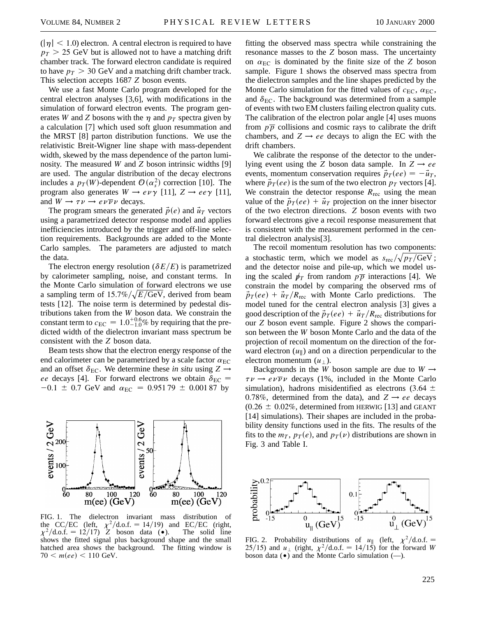$(|\eta| < 1.0)$  electron. A central electron is required to have  $p_T$  > 25 GeV but is allowed not to have a matching drift chamber track. The forward electron candidate is required to have  $p_T > 30$  GeV and a matching drift chamber track. This selection accepts 1687 *Z* boson events.

We use a fast Monte Carlo program developed for the central electron analyses [3,6], with modifications in the simulation of forward electron events. The program generates *W* and *Z* bosons with the  $\eta$  and  $p_T$  spectra given by a calculation [7] which used soft gluon resummation and the MRST [8] parton distribution functions. We use the relativistic Breit-Wigner line shape with mass-dependent width, skewed by the mass dependence of the parton luminosity. The measured *W* and *Z* boson intrinsic widths [9] are used. The angular distribution of the decay electrons includes a  $p_T(W)$ -dependent  $\mathcal{O}(\alpha_s^2)$  correction [10]. The program also generates  $W \rightarrow e\nu\gamma$  [11],  $Z \rightarrow ee\gamma$  [11], and  $W \rightarrow \tau \nu \rightarrow e \nu \overline{\nu} \nu$  decays.

The program smears the generated  $\vec{p}(e)$  and  $\vec{u}_T$  vectors using a parametrized detector response model and applies inefficiencies introduced by the trigger and off-line selection requirements. Backgrounds are added to the Monte Carlo samples. The parameters are adjusted to match the data.

The electron energy resolution ( $\delta E/E$ ) is parametrized by calorimeter sampling, noise, and constant terms. In the Monte Carlo simulation of forward electrons we use a sampling term of  $15.7\%/\sqrt{E/\text{GeV}}$ , derived from beam tests [12]. The noise term is determined by pedestal distributions taken from the *W* boson data. We constrain the constant term to  $c_{\text{EC}} = 1.0^{+0.6}_{-1.0}\%$  by requiring that the predicted width of the dielectron invariant mass spectrum be consistent with the *Z* boson data.

Beam tests show that the electron energy response of the end calorimeter can be parametrized by a scale factor  $\alpha_{EC}$ and an offset  $\delta_{EC}$ . We determine these *in situ* using  $Z \rightarrow$ *ee* decays [4]. For forward electrons we obtain  $\delta_{EC}$  =  $-0.1 \pm 0.7$  GeV and  $\alpha_{EC} = 0.95179 \pm 0.00187$  by



FIG. 1. The dielectron invariant mass distribution of the CC/EC (left,  $\chi^2$ /d.o.f. = 14/19) and EC/EC (right,  $\chi^2/\text{d.o.f.} = 12/17$ ) *Z* boson data (•). The solid line shows the fitted signal plus background shape and the small hatched area shows the background. The fitting window is  $70 < m(ee) < 110 \text{ GeV}.$ 

fitting the observed mass spectra while constraining the resonance masses to the *Z* boson mass. The uncertainty on  $\alpha_{EC}$  is dominated by the finite size of the *Z* boson sample. Figure 1 shows the observed mass spectra from the dielectron samples and the line shapes predicted by the Monte Carlo simulation for the fitted values of  $c_{EC}$ ,  $\alpha_{EC}$ , and  $\delta_{EC}$ . The background was determined from a sample of events with two EM clusters failing electron quality cuts. The calibration of the electron polar angle [4] uses muons from  $p\bar{p}$  collisions and cosmic rays to calibrate the drift chambers, and  $Z \rightarrow ee$  decays to align the EC with the drift chambers.

We calibrate the response of the detector to the underlying event using the *Z* boson data sample. In  $Z \rightarrow ee$ events, momentum conservation requires  $\vec{p}_T(ee) = -\vec{u}_T$ , where  $\vec{p}_T(ee)$  is the sum of the two electron  $p_T$  vectors [4]. We constrain the detector response  $R_{\text{rec}}$  using the mean value of the  $\vec{p}_T(ee) + \vec{u}_T$  projection on the inner bisector of the two electron directions. *Z* boson events with two forward electrons give a recoil response measurement that is consistent with the measurement performed in the central dielectron analysis[3].

The recoil momentum resolution has two components: a stochastic term, which we model as  $s_{\text{rec}} / \sqrt{p_T / \text{GeV}}$ ; and the detector noise and pile-up, which we model using the scaled  $p_T$  from random  $p_T$  interactions [4]. We constrain the model by comparing the observed rms of  $\vec{p}_T(ee) + \vec{u}_T/R_{\text{rec}}$  with Monte Carlo predictions. The model tuned for the central electron analysis [3] gives a good description of the  $\vec{p}_T(ee) + \vec{u}_T/R_{\text{rec}}$  distributions for our *Z* boson event sample. Figure 2 shows the comparison between the *W* boson Monte Carlo and the data of the projection of recoil momentum on the direction of the forward electron  $(u_{\parallel})$  and on a direction perpendicular to the electron momentum  $(u_+)$ .

Backgrounds in the *W* boson sample are due to  $W \rightarrow$  $\tau \nu \rightarrow e \nu \overline{\nu} \nu$  decays (1%, included in the Monte Carlo simulation), hadrons misidentified as electrons (3.64  $\pm$ 0.78%, determined from the data), and  $Z \rightarrow ee$  decays  $(0.26 \pm 0.02\%$ , determined from HERWIG [13] and GEANT [14] simulations). Their shapes are included in the probability density functions used in the fits. The results of the fits to the  $m_T$ ,  $p_T(e)$ , and  $p_T(v)$  distributions are shown in Fig. 3 and Table I.



FIG. 2. Probability distributions of  $u_{\parallel}$  (left,  $\chi^2/\text{d.o.f.}$  = 25/15) and  $u_{\perp}$  (right,  $\chi^2/\text{d.o.f.} = 14/15$ ) for the forward *W* boson data  $(\bullet)$  and the Monte Carlo simulation  $(-)$ .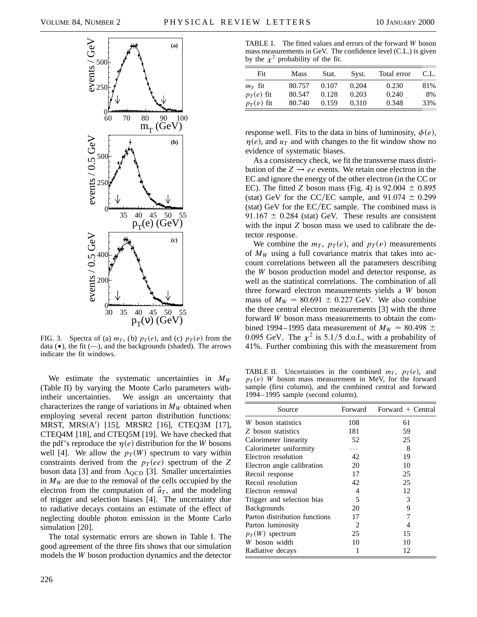

FIG. 3. Spectra of (a)  $m_T$ , (b)  $p_T(e)$ , and (c)  $p_T(v)$  from the data  $(\bullet)$ , the fit  $(\text{---})$ , and the backgrounds (shaded). The arrows indicate the fit windows.

We estimate the systematic uncertainties in  $M_W$ (Table II) by varying the Monte Carlo parameters withintheir uncertainties. We assign an uncertainty that characterizes the range of variations in  $M_W$  obtained when employing several recent parton distribution functions: MRST, MRS(A') [15], MRSR2 [16], CTEQ3M [17], CTEQ4M [18], and CTEQ5M [19]. We have checked that the pdf's reproduce the  $\eta(e)$  distribution for the *W* bosons well [4]. We allow the  $p_T(W)$  spectrum to vary within constraints derived from the  $p_T(ee)$  spectrum of the Z boson data [3] and from  $\Lambda_{\text{QCD}}$  [3]. Smaller uncertainties in  $M_W$  are due to the removal of the cells occupied by the electron from the computation of  $\vec{u}_T$ , and the modeling of trigger and selection biases [4]. The uncertainty due to radiative decays contains an estimate of the effect of neglecting double photon emission in the Monte Carlo simulation [20].

The total systematic errors are shown in Table I. The good agreement of the three fits shows that our simulation models the *W* boson production dynamics and the detector

TABLE I. The fitted values and errors of the forward *W* boson mass measurements in GeV. The confidence level (C.L.) is given by the  $\chi^2$  probability of the fit.

| Fit            | Mass   | Stat. | Syst. | Total error | C.L. |
|----------------|--------|-------|-------|-------------|------|
| $m_T$ fit      | 80.757 | 0.107 | 0.204 | 0.230       | 81%  |
| $p_T(e)$ fit   | 80.547 | 0.128 | 0.203 | 0.240       | 8%   |
| $p_T(\nu)$ fit | 80.740 | 0.159 | 0.310 | 0.348       | 33%  |

response well. Fits to the data in bins of luminosity,  $\phi(e)$ ,  $\eta(e)$ , and  $u_T$  and with changes to the fit window show no evidence of systematic biases.

As a consistency check, we fit the transverse mass distribution of the  $Z \rightarrow ee$  events. We retain one electron in the EC and ignore the energy of the other electron (in the CC or EC). The fitted *Z* boson mass (Fig. 4) is  $92.004 \pm 0.895$ (stat) GeV for the CC/EC sample, and  $91.074 \pm 0.299$ (stat) GeV for the EC/EC sample. The combined mass is 91.167  $\pm$  0.284 (stat) GeV. These results are consistent with the input *Z* boson mass we used to calibrate the detector response.

We combine the  $m_T$ ,  $p_T(e)$ , and  $p_T(v)$  measurements of  $M_W$  using a full covariance matrix that takes into account correlations between all the parameters describing the *W* boson production model and detector response, as well as the statistical correlations. The combination of all three forward electron measurements yields a *W* boson mass of  $M_W = 80.691 \pm 0.227$  GeV. We also combine the three central electron measurements [3] with the three forward *W* boson mass measurements to obtain the combined 1994–1995 data measurement of  $M_W = 80.498 \pm$ 0.095 GeV. The  $\chi^2$  is 5.1/5 d.o.f., with a probability of 41%. Further combining this with the measurement from

TABLE II. Uncertainties in the combined  $m<sub>T</sub>$ ,  $p<sub>T</sub>(e)$ , and  $p_T(\nu)$  *W* boson mass measurement in MeV, for the forward sample (first column), and the combined central and forward 1994–1995 sample (second column).

| Source                        | Forward | Forward $+$ Central |
|-------------------------------|---------|---------------------|
| W boson statistics            | 108     | 61                  |
| Z boson statistics            | 181     | 59                  |
| Calorimeter linearity         | 52      | 25                  |
| Calorimeter uniformity        |         | 8                   |
| Electron resolution           | 42      | 19                  |
| Electron angle calibration    | 20      | 10                  |
| Recoil response               | 17      | 25                  |
| Recoil resolution             | 42      | 25                  |
| Electron removal              | 4       | 12                  |
| Trigger and selection bias    | 5       | 3                   |
| <b>Backgrounds</b>            | 20      | 9                   |
| Parton distribution functions | 17      | 7                   |
| Parton luminosity             | 2       | 4                   |
| $p_T(W)$ spectrum             | 25      | 15                  |
| W boson width                 | 10      | 10                  |
| Radiative decays              |         | 12                  |